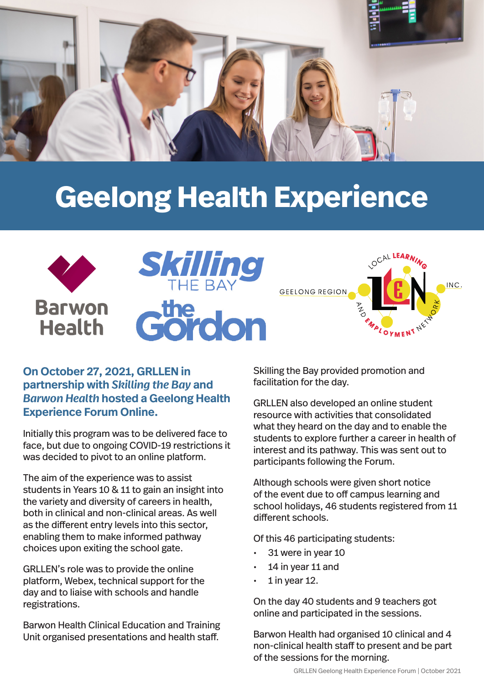

## **Geelong Health Experience**



## **On October 27, 2021, GRLLEN in partnership with** *Skilling the Bay* **and**  *Barwon Health* **hosted a Geelong Health Experience Forum Online.**

Initially this program was to be delivered face to face, but due to ongoing COVID-19 restrictions it was decided to pivot to an online platform.

The aim of the experience was to assist students in Years 10 & 11 to gain an insight into the variety and diversity of careers in health, both in clinical and non-clinical areas. As well as the different entry levels into this sector, enabling them to make informed pathway choices upon exiting the school gate.

GRLLEN's role was to provide the online platform, Webex, technical support for the day and to liaise with schools and handle registrations.

Barwon Health Clinical Education and Training Unit organised presentations and health staff.

Skilling the Bay provided promotion and facilitation for the day.

GRLLEN also developed an online student resource with activities that consolidated what they heard on the day and to enable the students to explore further a career in health of interest and its pathway. This was sent out to participants following the Forum.

Although schools were given short notice of the event due to off campus learning and school holidays, 46 students registered from 11 different schools.

Of this 46 participating students:

- 31 were in year 10
- 14 in year 11 and
- 1 in year 12.

On the day 40 students and 9 teachers got online and participated in the sessions.

Barwon Health had organised 10 clinical and 4 non-clinical health staff to present and be part of the sessions for the morning.